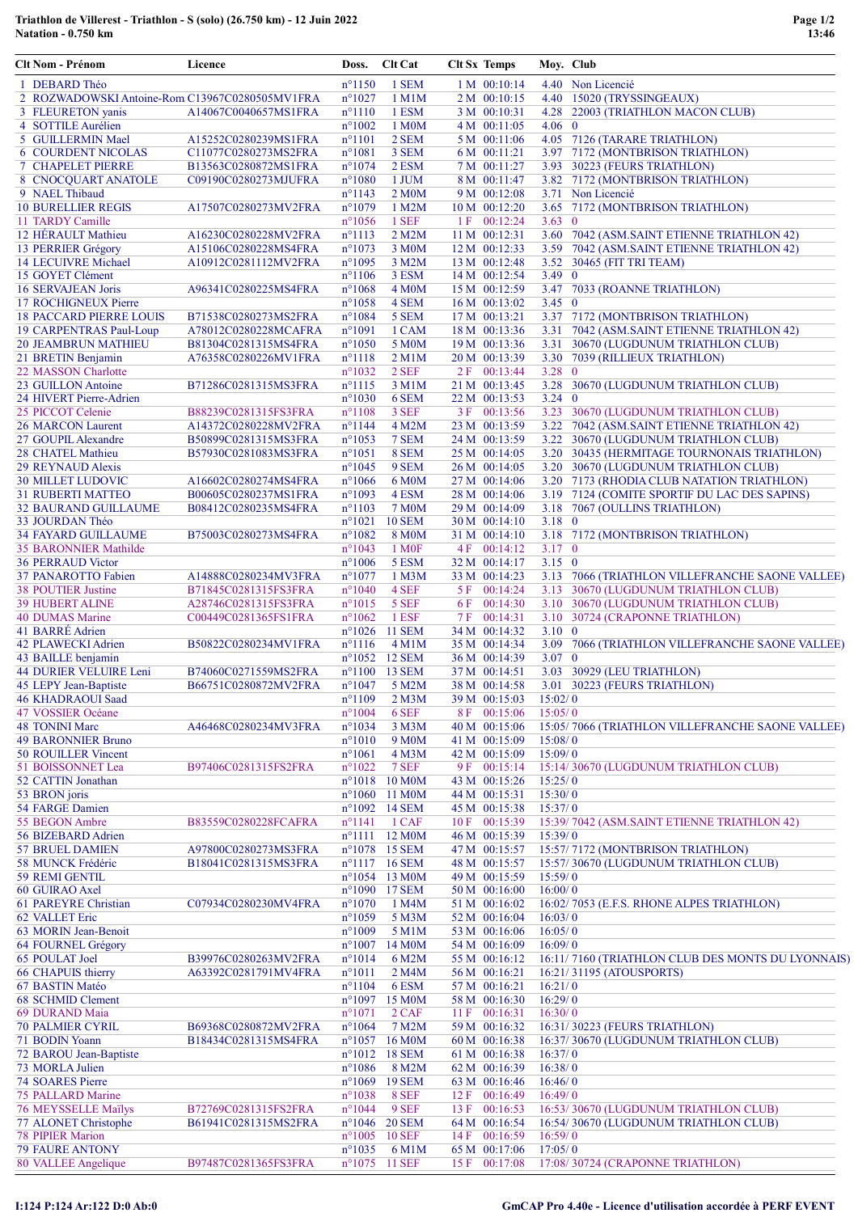## Triathlon de Villerest - Triathlon - S (solo) (26.750 km) - 12 Juin 2022 Natation - 0.750 km

| Clt Nom - Prénom                                          | Licence                                      | Doss.                              | Clt Cat                       | <b>Clt Sx Temps</b>            | Moy. Club          |                                                                                |
|-----------------------------------------------------------|----------------------------------------------|------------------------------------|-------------------------------|--------------------------------|--------------------|--------------------------------------------------------------------------------|
| 1 DEBARD Théo                                             |                                              | $n^{\circ}1150$                    | 1 SEM                         | 1 M 00:10:14                   |                    | 4.40 Non Licencié                                                              |
| 2 ROZWADOWSKI Antoine-Rom C13967C0280505MV1FRA            |                                              | $n^{\circ}1027$                    | $1$ M $1$ M                   | 2 M 00:10:15                   |                    | 4.40 15020 (TRYSSINGEAUX)                                                      |
| 3 FLEURETON yanis                                         | A14067C0040657MS1FRA                         | $n^{\circ}1110$                    | 1 ESM                         | 3 M 00:10:31                   | 4.28               | 22003 (TRIATHLON MACON CLUB)                                                   |
| 4 SOTTILE Aurélien                                        |                                              | $n^{\circ}1002$                    | 1 M0M                         | 4 M 00:11:05                   | $4.06 \quad 0$     |                                                                                |
| 5 GUILLERMIN Mael<br><b>6 COURDENT NICOLAS</b>            | A15252C0280239MS1FRA<br>C11077C0280273MS2FRA | $n^{\circ}1101$<br>$n^{\circ}1081$ | 2 SEM<br>3 SEM                | 5 M 00:11:06<br>6 M 00:11:21   |                    | 4.05 7126 (TARARE TRIATHLON)<br>3.97 7172 (MONTBRISON TRIATHLON)               |
| <b>7 CHAPELET PIERRE</b>                                  | B13563C0280872MS1FRA                         | $n^{\circ}1074$                    | 2 ESM                         | 7 M 00:11:27                   |                    | 3.93 30223 (FEURS TRIATHLON)                                                   |
| 8 CNOCQUART ANATOLE                                       | C09190C0280273MJUFRA                         | $n^{\circ}1080$                    | 1 JUM                         | 8 M 00:11:47                   |                    | 3.82 7172 (MONTBRISON TRIATHLON)                                               |
| 9 NAEL Thibaud                                            |                                              | $n^{\circ}1143$                    | 2 M0M                         | 9 M 00:12:08                   |                    | 3.71 Non Licencié                                                              |
| <b>10 BURELLIER REGIS</b>                                 | A17507C0280273MV2FRA                         | $n^{\circ}1079$                    | 1 M2M                         | 10 M 00:12:20                  |                    | 3.65 7172 (MONTBRISON TRIATHLON)                                               |
| 11 TARDY Camille                                          |                                              | $n^{\circ}1056$                    | 1 SEF                         | 1 F 00:12:24                   | $3.63 \quad 0$     |                                                                                |
| 12 HÉRAULT Mathieu                                        | A16230C0280228MV2FRA                         | $n^{\circ}1113$                    | 2 M2M                         | 11 M 00:12:31                  |                    | 3.60 7042 (ASM.SAINT ETIENNE TRIATHLON 42)                                     |
| 13 PERRIER Grégory                                        | A15106C0280228MS4FRA                         | $n^{\circ}1073$                    | 3 M0M                         | 12 M 00:12:33                  |                    | 3.59 7042 (ASM.SAINT ETIENNE TRIATHLON 42)                                     |
| 14 LECUIVRE Michael                                       | A10912C0281112MV2FRA                         | $n^{\circ}1095$                    | 3 M2M                         | 13 M 00:12:48                  |                    | 3.52 30465 (FIT TRI TEAM)                                                      |
| 15 GOYET Clément                                          |                                              | $n^{\circ}1106$                    | 3 ESM                         | 14 M 00:12:54                  | 3.49 $0$           |                                                                                |
| 16 SERVAJEAN Joris                                        | A96341C0280225MS4FRA                         | $n^{\circ}1068$                    | 4 M0M                         | 15 M 00:12:59                  |                    | 3.47 7033 (ROANNE TRIATHLON)                                                   |
| 17 ROCHIGNEUX Pierre                                      |                                              | $n^{\circ}1058$                    | 4 SEM                         | 16 M 00:13:02                  | $3.45 \quad 0$     |                                                                                |
| <b>18 PACCARD PIERRE LOUIS</b><br>19 CARPENTRAS Paul-Loup | B71538C0280273MS2FRA<br>A78012C0280228MCAFRA | $n^{\circ}1084$<br>$n^{\circ}1091$ | 5 SEM<br>1 CAM                | 17 M 00:13:21<br>18 M 00:13:36 |                    | 3.37 7172 (MONTBRISON TRIATHLON)<br>3.31 7042 (ASM.SAINT ETIENNE TRIATHLON 42) |
| <b>20 JEAMBRUN MATHIEU</b>                                | B81304C0281315MS4FRA                         | $n^{\circ}1050$                    | 5 M <sub>0</sub> M            | 19 M 00:13:36                  |                    | 3.31 30670 (LUGDUNUM TRIATHLON CLUB)                                           |
| 21 BRETIN Benjamin                                        | A76358C0280226MV1FRA                         | $n^{\circ}1118$                    | $2$ M $1$ M                   | 20 M 00:13:39                  |                    | 3.30 7039 (RILLIEUX TRIATHLON)                                                 |
| 22 MASSON Charlotte                                       |                                              | $n^{\circ}1032$                    | 2 SEF                         | 2 F 00:13:44                   | $3.28 \quad 0$     |                                                                                |
| 23 GUILLON Antoine                                        | B71286C0281315MS3FRA                         | $n^{\circ}1115$                    | 3 M1M                         | 21 M 00:13:45                  |                    | 3.28 30670 (LUGDUNUM TRIATHLON CLUB)                                           |
| 24 HIVERT Pierre-Adrien                                   |                                              | $n^{\circ}1030$                    | 6 SEM                         | 22 M 00:13:53                  | $3.24 \quad 0$     |                                                                                |
| 25 PICCOT Celenie                                         | B88239C0281315FS3FRA                         | $n^{\circ}1108$                    | 3 SEF                         | 3 F 00:13:56                   |                    | 3.23 30670 (LUGDUNUM TRIATHLON CLUB)                                           |
| <b>26 MARCON Laurent</b>                                  | A14372C0280228MV2FRA                         | $n^{\circ}1144$                    | 4 M2M                         | 23 M 00:13:59                  |                    | 3.22 7042 (ASM.SAINT ETIENNE TRIATHLON 42)                                     |
| 27 GOUPIL Alexandre                                       | B50899C0281315MS3FRA                         | $n^{\circ}1053$                    | 7 SEM                         | 24 M 00:13:59                  |                    | 3.22 30670 (LUGDUNUM TRIATHLON CLUB)                                           |
| 28 CHATEL Mathieu                                         | B57930C0281083MS3FRA                         | $n^{\circ}1051$                    | 8 SEM                         | 25 M 00:14:05                  |                    | 3.20 30435 (HERMITAGE TOURNONAIS TRIATHLON)                                    |
| 29 REYNAUD Alexis                                         |                                              | $n^{\circ}1045$                    | 9 SEM                         | 26 M 00:14:05                  |                    | 3.20 30670 (LUGDUNUM TRIATHLON CLUB)                                           |
| <b>30 MILLET LUDOVIC</b>                                  | A16602C0280274MS4FRA                         | $n^{\circ}1066$                    | 6 M <sub>0</sub> M            | 27 M 00:14:06                  |                    | 3.20 7173 (RHODIA CLUB NATATION TRIATHLON)                                     |
| <b>31 RUBERTI MATTEO</b>                                  | B00605C0280237MS1FRA                         | $n^{\circ}1093$                    | 4 ESM                         | 28 M 00:14:06                  |                    | 3.19 7124 (COMITE SPORTIF DU LAC DES SAPINS)                                   |
| <b>32 BAURAND GUILLAUME</b>                               | B08412C0280235MS4FRA                         | $n^{\circ}1103$                    | 7 M <sub>0</sub> M            | 29 M 00:14:09                  | $3.18 \quad 0$     | 3.18 7067 (OULLINS TRIATHLON)                                                  |
| 33 JOURDAN Théo<br><b>34 FAYARD GUILLAUME</b>             | B75003C0280273MS4FRA                         | $n^{\circ}1021$<br>$n^{\circ}1082$ | <b>10 SEM</b><br><b>8 M0M</b> | 30 M 00:14:10<br>31 M 00:14:10 |                    | 3.18 7172 (MONTBRISON TRIATHLON)                                               |
| 35 BARONNIER Mathilde                                     |                                              | $n^{\circ}1043$                    | 1 M <sub>OF</sub>             | 4 F 00:14:12                   | $3.17 \quad 0$     |                                                                                |
| <b>36 PERRAUD Victor</b>                                  |                                              | $n^{\circ}1006$                    | 5 ESM                         | 32 M 00:14:17                  | $3.15 \quad 0$     |                                                                                |
| 37 PANAROTTO Fabien                                       | A14888C0280234MV3FRA                         | $n^{\circ}1077$                    | 1 M3M                         | 33 M 00:14:23                  |                    | 3.13 7066 (TRIATHLON VILLEFRANCHE SAONE VALLEE)                                |
| <b>38 POUTIER Justine</b>                                 | B71845C0281315FS3FRA                         | $n^{\circ}1040$                    | 4 SEF                         | 5 F 00:14:24                   |                    | 3.13 30670 (LUGDUNUM TRIATHLON CLUB)                                           |
| <b>39 HUBERT ALINE</b>                                    | A28746C0281315FS3FRA                         | $n^{\circ}1015$                    | 5 SEF                         | 6 F 00:14:30                   |                    | 3.10 30670 (LUGDUNUM TRIATHLON CLUB)                                           |
| 40 DUMAS Marine                                           | C00449C0281365FS1FRA                         | $n^{\circ}1062$                    | 1 ESF                         | 7 F 00:14:31                   |                    | 3.10 30724 (CRAPONNE TRIATHLON)                                                |
| 41 BARRÉ Adrien                                           |                                              |                                    | n°1026 11 SEM                 | 34 M 00:14:32                  | $3.10 \quad 0$     |                                                                                |
| 42 PLAWECKI Adrien                                        | B50822C0280234MV1FRA                         | $n^{\circ}1116$                    | $4$ M $1$ M                   | 35 M 00:14:34                  |                    | 3.09 7066 (TRIATHLON VILLEFRANCHE SAONE VALLEE)                                |
| 43 BAILLE benjamin                                        |                                              |                                    | n°1052 12 SEM                 | 36 M 00:14:39                  | $3.07 \quad 0$     |                                                                                |
| 44 DURIER VELUIRE Leni                                    | B74060C0271559MS2FRA                         |                                    | n°1100 13 SEM                 | 37 M 00:14:51                  |                    | 3.03 30929 (LEU TRIATHLON)                                                     |
| 45 LEPY Jean-Baptiste                                     | B66751C0280872MV2FRA                         | $n^{\circ}1047$                    | 5 M2M                         | 38 M 00:14:58                  |                    | 3.01 30223 (FEURS TRIATHLON)                                                   |
| 46 KHADRAOUI Saad<br>47 VOSSIER Océane                    |                                              | $n^{\circ}1109$<br>$n^{\circ}1004$ | 2 M3M<br>6 SEF                | 39 M 00:15:03<br>8 F 00:15:06  | 15:02/0<br>15:05/0 |                                                                                |
| <b>48 TONINI Marc</b>                                     | A46468C0280234MV3FRA                         | $n^{\circ}1034$                    | 3 M3M                         | 40 M 00:15:06                  |                    | 15:05/7066 (TRIATHLON VILLEFRANCHE SAONE VALLEE)                               |
| <b>49 BARONNIER Bruno</b>                                 |                                              | $n^{\circ}1010$                    | 9 M <sub>0</sub> M            | 41 M 00:15:09                  | 15:08/0            |                                                                                |
| 50 ROUILLER Vincent                                       |                                              | $n^{\circ}1061$                    | 4 M <sub>3</sub> M            | 42 M 00:15:09                  | 15:09/0            |                                                                                |
| 51 BOISSONNET Lea                                         | B97406C0281315FS2FRA                         | $n^{\circ}1022$                    | 7 SEF                         | 9F 00:15:14                    |                    | 15:14/30670 (LUGDUNUM TRIATHLON CLUB)                                          |
| 52 CATTIN Jonathan                                        |                                              |                                    | $n^{\circ}1018$ 10 M0M        | 43 M 00:15:26                  | 15:25/0            |                                                                                |
| 53 BRON joris                                             |                                              |                                    | n°1060 11 M0M                 | 44 M 00:15:31                  | 15:30/0            |                                                                                |
| 54 FARGE Damien                                           |                                              |                                    | n°1092 14 SEM                 | 45 M 00:15:38                  | 15:37/0            |                                                                                |
| 55 BEGON Ambre                                            | B83559C0280228FCAFRA                         | $n^{\circ}1141$                    | 1 CAF                         | 10 F 00:15:39                  |                    | 15:39/7042 (ASM.SAINT ETIENNE TRIATHLON 42)                                    |
| 56 BIZEBARD Adrien                                        |                                              | $n^{\circ}1111$                    | 12 M <sub>0</sub> M           | 46 M 00:15:39                  | 15:39/0            |                                                                                |
| <b>57 BRUEL DAMIEN</b>                                    | A97800C0280273MS3FRA                         |                                    | n°1078 15 SEM                 | 47 M 00:15:57                  |                    | 15:57/7172 (MONTBRISON TRIATHLON)                                              |
| 58 MUNCK Frédéric                                         | B18041C0281315MS3FRA                         |                                    | n°1117 16 SEM                 | 48 M 00:15:57                  |                    | 15:57/30670 (LUGDUNUM TRIATHLON CLUB)                                          |
| 59 REMI GENTIL                                            |                                              |                                    | n°1054 13 M0M                 | 49 M 00:15:59                  | 15:59/0            |                                                                                |
| 60 GUIRAO Axel                                            |                                              | $n^{\circ}1070$                    | n°1090 17 SEM                 | 50 M 00:16:00<br>51 M 00:16:02 | 16:00/0            |                                                                                |
| 61 PAREYRE Christian<br>62 VALLET Eric                    | C07934C0280230MV4FRA                         | $n^{\circ}1059$                    | 1 M4M<br>5 M3M                | 52 M 00:16:04                  | 16:03/0            | 16:02/7053 (E.F.S. RHONE ALPES TRIATHLON)                                      |
| 63 MORIN Jean-Benoit                                      |                                              | $n^{\circ}1009$                    | 5 M1M                         | 53 M 00:16:06                  | 16:05/0            |                                                                                |
| 64 FOURNEL Grégory                                        |                                              |                                    | n°1007 14 M0M                 | 54 M 00:16:09                  | 16:09/0            |                                                                                |
| 65 POULAT Joel                                            | B39976C0280263MV2FRA                         | $n^{\circ}1014$                    | 6 M2M                         | 55 M 00:16:12                  |                    | 16:11/7160 (TRIATHLON CLUB DES MONTS DU LYONNAIS)                              |
| 66 CHAPUIS thierry                                        | A63392C0281791MV4FRA                         | $n^{\circ}1011$                    | 2 M4M                         | 56 M 00:16:21                  |                    | 16:21/31195 (ATOUSPORTS)                                                       |
| 67 BASTIN Matéo                                           |                                              | $n^{\circ}1104$                    | 6ESM                          | 57 M 00:16:21                  | 16:21/0            |                                                                                |
| 68 SCHMID Clement                                         |                                              | $n^{\circ}1097$                    | 15 M0M                        | 58 M 00:16:30                  | 16:29/0            |                                                                                |
| 69 DURAND Maia                                            |                                              | $n^{\circ}1071$                    | 2 CAF                         | 11 F 00:16:31                  | 16:30/0            |                                                                                |
| <b>70 PALMIER CYRIL</b>                                   | B69368C0280872MV2FRA                         | $n^{\circ}1064$                    | 7 M2M                         | 59 M 00:16:32                  |                    | 16:31/30223 (FEURS TRIATHLON)                                                  |
| 71 BODIN Yoann                                            | B18434C0281315MS4FRA                         |                                    | n°1057 16 M0M                 | 60 M 00:16:38                  |                    | 16:37/30670 (LUGDUNUM TRIATHLON CLUB)                                          |
| 72 BAROU Jean-Baptiste                                    |                                              |                                    | n°1012 18 SEM                 | 61 M 00:16:38                  | 16:37/0            |                                                                                |
| 73 MORLA Julien                                           |                                              | $n^{\circ}1086$                    | 8 M2M                         | 62 M 00:16:39                  | 16:38/0            |                                                                                |
| 74 SOARES Pierre                                          |                                              |                                    | n°1069 19 SEM                 | 63 M 00:16:46                  | 16:46/0            |                                                                                |
| 75 PALLARD Marine                                         | B72769C0281315FS2FRA                         | $n^{\circ}1038$<br>$n^{\circ}1044$ | 8 SEF<br>9 SEF                | 12 F 00:16:49<br>13 F 00:16:53 | 16:49/0            | 16:53/30670 (LUGDUNUM TRIATHLON CLUB)                                          |
| <b>76 MEYSSELLE Maïlys</b><br>77 ALONET Christophe        | B61941C0281315MS2FRA                         |                                    | n°1046 20 SEM                 | 64 M 00:16:54                  |                    | 16:54/30670 (LUGDUNUM TRIATHLON CLUB)                                          |
| <b>78 PIPIER Marion</b>                                   |                                              |                                    | n°1005 10 SEF                 | 14 F 00:16:59                  | 16:59/0            |                                                                                |
| <b>79 FAURE ANTONY</b>                                    |                                              | $n^{\circ}1035$                    | 6 M1M                         | 65 M 00:17:06                  | 17:05/0            |                                                                                |
| 80 VALLEE Angelique                                       | B97487C0281365FS3FRA                         |                                    | n°1075 11 SEF                 | 15 F 00:17:08                  |                    | 17:08/30724 (CRAPONNE TRIATHLON)                                               |